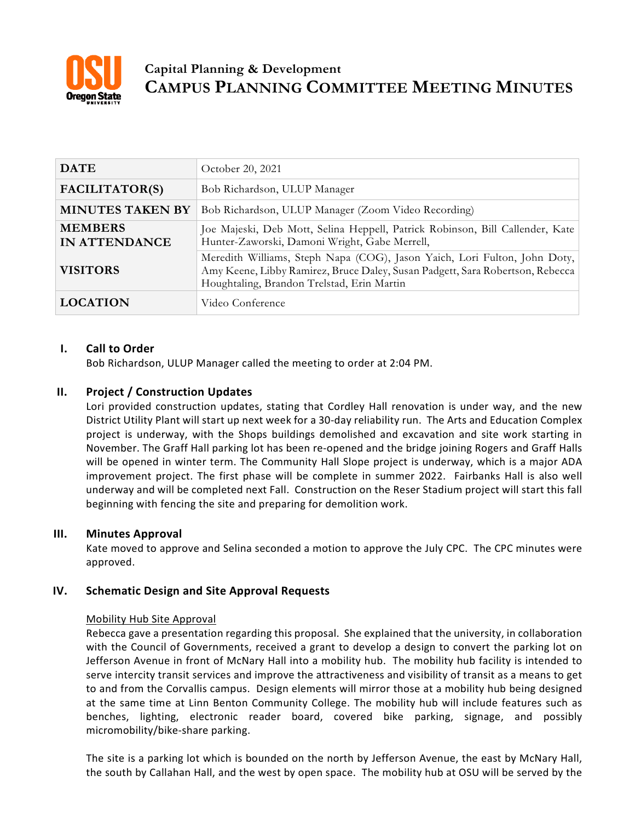

# **Capital Planning & Development CAMPUS PLANNING COMMITTEE MEETING MINUTES**

| <b>DATE</b>                            | October 20, 2021                                                                                                                                                                                         |
|----------------------------------------|----------------------------------------------------------------------------------------------------------------------------------------------------------------------------------------------------------|
| FACILITATOR(S)                         | Bob Richardson, ULUP Manager                                                                                                                                                                             |
| <b>MINUTES TAKEN BY</b>                | Bob Richardson, ULUP Manager (Zoom Video Recording)                                                                                                                                                      |
| <b>MEMBERS</b><br><b>IN ATTENDANCE</b> | Joe Majeski, Deb Mott, Selina Heppell, Patrick Robinson, Bill Callender, Kate<br>Hunter-Zaworski, Damoni Wright, Gabe Merrell,                                                                           |
| <b>VISITORS</b>                        | Meredith Williams, Steph Napa (COG), Jason Yaich, Lori Fulton, John Doty,<br>Amy Keene, Libby Ramirez, Bruce Daley, Susan Padgett, Sara Robertson, Rebecca<br>Houghtaling, Brandon Trelstad, Erin Martin |
| <b>LOCATION</b>                        | Video Conference                                                                                                                                                                                         |

# **I. Call to Order**

Bob Richardson, ULUP Manager called the meeting to order at 2:04 PM.

## **II. Project / Construction Updates**

Lori provided construction updates, stating that Cordley Hall renovation is under way, and the new District Utility Plant will start up next week for a 30-day reliability run. The Arts and Education Complex project is underway, with the Shops buildings demolished and excavation and site work starting in November. The Graff Hall parking lot has been re-opened and the bridge joining Rogers and Graff Halls will be opened in winter term. The Community Hall Slope project is underway, which is a major ADA improvement project. The first phase will be complete in summer 2022. Fairbanks Hall is also well underway and will be completed next Fall. Construction on the Reser Stadium project will start this fall beginning with fencing the site and preparing for demolition work.

## **III. Minutes Approval**

Kate moved to approve and Selina seconded a motion to approve the July CPC. The CPC minutes were approved.

## **IV. Schematic Design and Site Approval Requests**

## Mobility Hub Site Approval

Rebecca gave a presentation regarding this proposal. She explained that the university, in collaboration with the Council of Governments, received a grant to develop a design to convert the parking lot on Jefferson Avenue in front of McNary Hall into a mobility hub. The mobility hub facility is intended to serve intercity transit services and improve the attractiveness and visibility of transit as a means to get to and from the Corvallis campus. Design elements will mirror those at a mobility hub being designed at the same time at Linn Benton Community College. The mobility hub will include features such as benches, lighting, electronic reader board, covered bike parking, signage, and possibly micromobility/bike-share parking.

The site is a parking lot which is bounded on the north by Jefferson Avenue, the east by McNary Hall, the south by Callahan Hall, and the west by open space. The mobility hub at OSU will be served by the